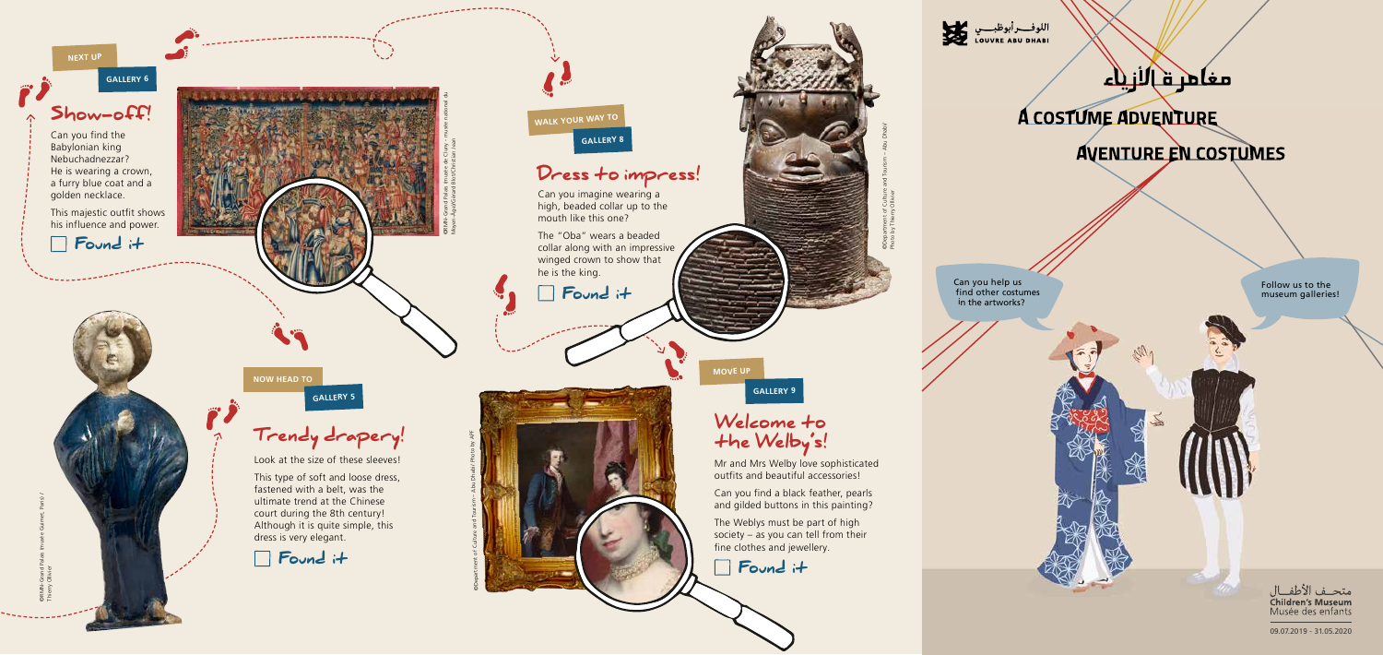



# مغامر ق\لازياء

## **A COSTUME ADVENTURE**

Ull 1

## **AVENTURE EN COSTUMES**

Can you help us<br>find other costumes in the artworks?

Follow us to the museum galleries!

> متحــف الأطفـــال **Children's Museum** Musée des enfants

> 09.07.2019 - 31.05.2020